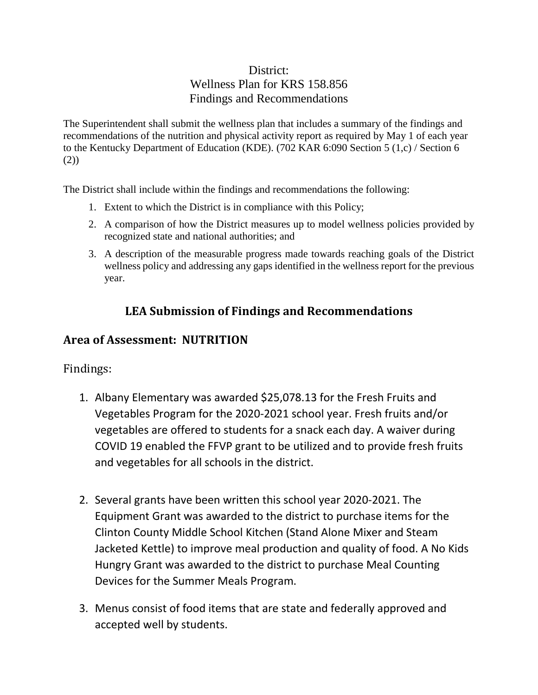## District: Wellness Plan for KRS 158.856 Findings and Recommendations

The Superintendent shall submit the wellness plan that includes a summary of the findings and recommendations of the nutrition and physical activity report as required by May 1 of each year to the Kentucky Department of Education (KDE). (702 KAR 6:090 Section 5 (1,c) / Section 6 (2))

The District shall include within the findings and recommendations the following:

- 1. Extent to which the District is in compliance with this Policy;
- 2. A comparison of how the District measures up to model wellness policies provided by recognized state and national authorities; and
- 3. A description of the measurable progress made towards reaching goals of the District wellness policy and addressing any gaps identified in the wellness report for the previous year.

## **LEA Submission of Findings and Recommendations**

## **Area of Assessment: NUTRITION**

Findings:

- 1. Albany Elementary was awarded \$25,078.13 for the Fresh Fruits and Vegetables Program for the 2020-2021 school year. Fresh fruits and/or vegetables are offered to students for a snack each day. A waiver during COVID 19 enabled the FFVP grant to be utilized and to provide fresh fruits and vegetables for all schools in the district.
- 2. Several grants have been written this school year 2020-2021. The Equipment Grant was awarded to the district to purchase items for the Clinton County Middle School Kitchen (Stand Alone Mixer and Steam Jacketed Kettle) to improve meal production and quality of food. A No Kids Hungry Grant was awarded to the district to purchase Meal Counting Devices for the Summer Meals Program.
- 3. Menus consist of food items that are state and federally approved and accepted well by students.